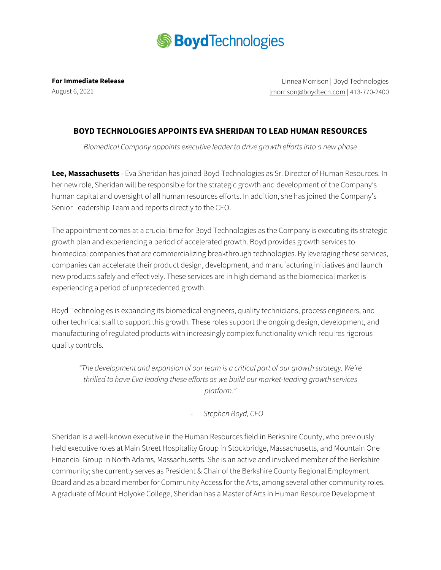## **S**BoydTechnologies

**For Immediate Release**

August 6, 2021

Linnea Morrison | Boyd Technologies [lmorrison@boydtech.com](mailto:lmorrison@boydtech.com) | 413-770-2400

## **BOYD TECHNOLOGIES APPOINTS EVA SHERIDAN TO LEAD HUMAN RESOURCES**

*Biomedical Company appoints executive leader to drive growth efforts into a new phase*

**Lee, Massachusetts** - Eva Sheridan has joined Boyd Technologies as Sr. Director of Human Resources. In her new role, Sheridan will be responsible for the strategic growth and development of the Company's human capital and oversight of all human resources efforts. In addition, she has joined the Company's Senior Leadership Team and reports directly to the CEO.

The appointment comes at a crucial time for Boyd Technologies as the Company is executing its strategic growth plan and experiencing a period of accelerated growth. Boyd provides growth services to biomedical companies that are commercializing breakthrough technologies. By leveraging these services, companies can accelerate their product design, development, and manufacturing initiatives and launch new products safely and effectively. These services are in high demand as the biomedical market is experiencing a period of unprecedented growth.

Boyd Technologies is expanding its biomedical engineers, quality technicians, process engineers, and other technical staff to support this growth. These roles support the ongoing design, development, and manufacturing of regulated products with increasingly complex functionality which requires rigorous quality controls.

*"The development and expansion of our team is a critical part of our growth strategy. We're thrilled to have Eva leading these efforts as we build our market-leading growth services platform."*

- *Stephen Boyd, CEO*

Sheridan is a well-known executive in the Human Resources field in Berkshire County, who previously held executive roles at Main Street Hospitality Group in Stockbridge, Massachusetts, and Mountain One Financial Group in North Adams, Massachusetts. She is an active and involved member of the Berkshire community; she currently serves as President & Chair of the Berkshire County Regional Employment Board and as a board member for Community Access for the Arts, among several other community roles. A graduate of Mount Holyoke College, Sheridan has a Master of Arts in Human Resource Development